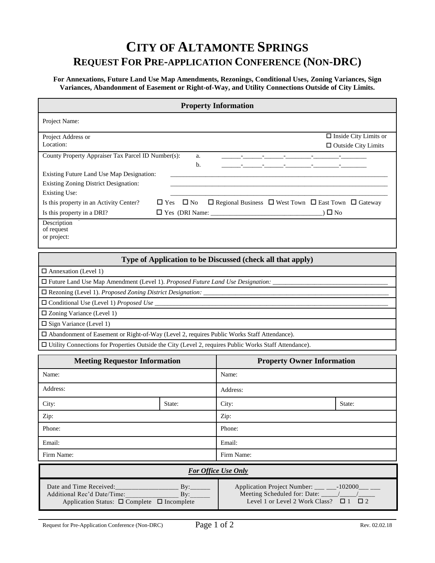## **CITY OF ALTAMONTE SPRINGS REQUEST FOR PRE-APPLICATION CONFERENCE (NON-DRC)**

**For Annexations, Future Land Use Map Amendments, Rezonings, Conditional Uses, Zoning Variances, Sign Variances, Abandonment of Easement or Right-of-Way, and Utility Connections Outside of City Limits.**

| <b>Property Information</b>                        |                                                                                                   |                            |  |  |
|----------------------------------------------------|---------------------------------------------------------------------------------------------------|----------------------------|--|--|
| Project Name:                                      |                                                                                                   |                            |  |  |
| $\Box$ Inside City Limits or<br>Project Address or |                                                                                                   |                            |  |  |
| Location:                                          |                                                                                                   | $\Box$ Outside City Limits |  |  |
| County Property Appraiser Tax Parcel ID Number(s): | a.<br>b.                                                                                          |                            |  |  |
| Existing Future Land Use Map Designation:          |                                                                                                   |                            |  |  |
| Existing Zoning District Designation:              |                                                                                                   |                            |  |  |
| Existing Use:                                      |                                                                                                   |                            |  |  |
| Is this property in an Activity Center?            | $\Box$ Yes $\Box$ No<br>$\Box$ Regional Business $\Box$ West Town $\Box$ East Town $\Box$ Gateway |                            |  |  |
| Is this property in a DRI?                         | ) $\square$ No                                                                                    |                            |  |  |
| Description<br>of request                          |                                                                                                   |                            |  |  |

requ or project:

## **Type of Application to be Discussed (check all that apply)**

 $\Box$  Annexation (Level 1)

 $\square$  Future Land Use Map Amendment (Level 1). *Proposed Future Land Use Designation*:

Rezoning (Level 1). *Proposed Zoning District Designation:* \_\_\_\_\_\_\_\_\_\_\_\_\_\_\_\_\_\_\_\_\_\_\_\_\_\_\_\_\_\_\_\_\_\_\_\_\_\_\_\_\_\_\_\_\_\_\_\_\_\_\_\_\_\_\_\_\_\_

 $\square$  Conditional Use (Level 1) *Proposed Use* 

 $\square$  Zoning Variance (Level 1)

 $\square$  Sign Variance (Level 1)

Abandonment of Easement or Right-of-Way (Level 2, requires Public Works Staff Attendance).

Utility Connections for Properties Outside the City (Level 2, requires Public Works Staff Attendance).

| <b>Meeting Requestor Information</b>                                                        |        | <b>Property Owner Information</b>                                                                     |        |  |  |
|---------------------------------------------------------------------------------------------|--------|-------------------------------------------------------------------------------------------------------|--------|--|--|
| Name:                                                                                       |        | Name:                                                                                                 |        |  |  |
| Address:                                                                                    |        | Address:                                                                                              |        |  |  |
| City:                                                                                       | State: | City:                                                                                                 | State: |  |  |
| Zip:                                                                                        |        | Zip:                                                                                                  |        |  |  |
| Phone:                                                                                      |        | Phone:                                                                                                |        |  |  |
| Email:                                                                                      |        | Email:                                                                                                |        |  |  |
| Firm Name:                                                                                  |        | Firm Name:                                                                                            |        |  |  |
| For Office Use Only                                                                         |        |                                                                                                       |        |  |  |
| Additional Rec'd Date/Time:<br>By:<br>Application Status: $\Box$ Complete $\Box$ Incomplete |        | Application Project Number: ___ ___-102000___ ___<br>Level 1 or Level 2 Work Class? $\Box$ 1 $\Box$ 2 |        |  |  |